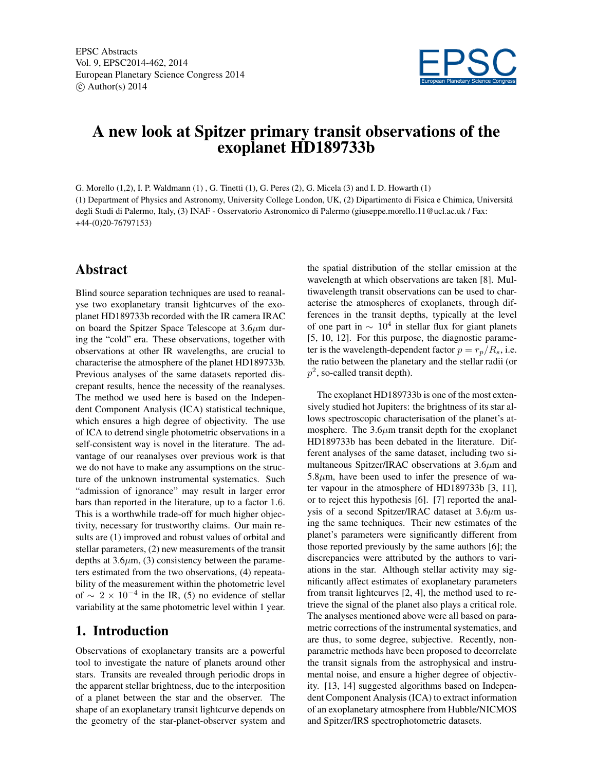

# A new look at Spitzer primary transit observations of the exoplanet HD189733b

G. Morello (1,2), I. P. Waldmann (1) , G. Tinetti (1), G. Peres (2), G. Micela (3) and I. D. Howarth (1) (1) Department of Physics and Astronomy, University College London, UK, (2) Dipartimento di Fisica e Chimica, Universitá degli Studi di Palermo, Italy, (3) INAF - Osservatorio Astronomico di Palermo (giuseppe.morello.11@ucl.ac.uk / Fax: +44-(0)20-76797153)

# Abstract

Blind source separation techniques are used to reanalyse two exoplanetary transit lightcurves of the exoplanet HD189733b recorded with the IR camera IRAC on board the Spitzer Space Telescope at  $3.6\mu$ m during the "cold" era. These observations, together with observations at other IR wavelengths, are crucial to characterise the atmosphere of the planet HD189733b. Previous analyses of the same datasets reported discrepant results, hence the necessity of the reanalyses. The method we used here is based on the Independent Component Analysis (ICA) statistical technique, which ensures a high degree of objectivity. The use of ICA to detrend single photometric observations in a self-consistent way is novel in the literature. The advantage of our reanalyses over previous work is that we do not have to make any assumptions on the structure of the unknown instrumental systematics. Such "admission of ignorance" may result in larger error bars than reported in the literature, up to a factor 1.6. This is a worthwhile trade-off for much higher objectivity, necessary for trustworthy claims. Our main results are (1) improved and robust values of orbital and stellar parameters, (2) new measurements of the transit depths at  $3.6\mu$ m, (3) consistency between the parameters estimated from the two observations, (4) repeatability of the measurement within the photometric level of  $\sim 2 \times 10^{-4}$  in the IR, (5) no evidence of stellar variability at the same photometric level within 1 year.

# 1. Introduction

Observations of exoplanetary transits are a powerful tool to investigate the nature of planets around other stars. Transits are revealed through periodic drops in the apparent stellar brightness, due to the interposition of a planet between the star and the observer. The shape of an exoplanetary transit lightcurve depends on the geometry of the star-planet-observer system and the spatial distribution of the stellar emission at the wavelength at which observations are taken [8]. Multiwavelength transit observations can be used to characterise the atmospheres of exoplanets, through differences in the transit depths, typically at the level of one part in  $\sim 10^4$  in stellar flux for giant planets [5, 10, 12]. For this purpose, the diagnostic parameter is the wavelength-dependent factor  $p = r_p/R_s$ , i.e. the ratio between the planetary and the stellar radii (or  $p^2$ , so-called transit depth).

The exoplanet HD189733b is one of the most extensively studied hot Jupiters: the brightness of its star allows spectroscopic characterisation of the planet's atmosphere. The  $3.6\mu$ m transit depth for the exoplanet HD189733b has been debated in the literature. Different analyses of the same dataset, including two simultaneous Spitzer/IRAC observations at  $3.6\mu$ m and  $5.8\mu$ m, have been used to infer the presence of water vapour in the atmosphere of HD189733b [3, 11], or to reject this hypothesis [6]. [7] reported the analysis of a second Spitzer/IRAC dataset at  $3.6\mu$ m using the same techniques. Their new estimates of the planet's parameters were significantly different from those reported previously by the same authors [6]; the discrepancies were attributed by the authors to variations in the star. Although stellar activity may significantly affect estimates of exoplanetary parameters from transit lightcurves [2, 4], the method used to retrieve the signal of the planet also plays a critical role. The analyses mentioned above were all based on parametric corrections of the instrumental systematics, and are thus, to some degree, subjective. Recently, nonparametric methods have been proposed to decorrelate the transit signals from the astrophysical and instrumental noise, and ensure a higher degree of objectivity. [13, 14] suggested algorithms based on Independent Component Analysis (ICA) to extract information of an exoplanetary atmosphere from Hubble/NICMOS and Spitzer/IRS spectrophotometric datasets.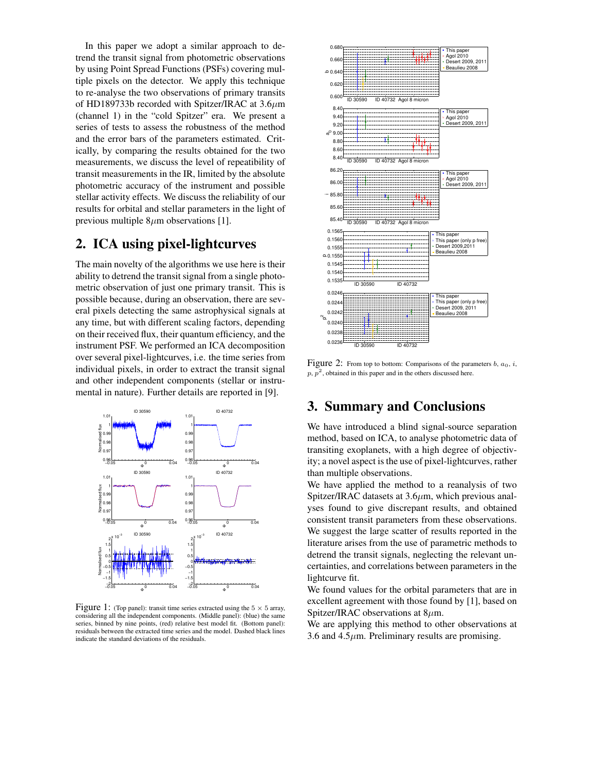In this paper we adopt a similar approach to detrend the transit signal from photometric observations by using Point Spread Functions (PSFs) covering multiple pixels on the detector. We apply this technique to re-analyse the two observations of primary transits of HD189733b recorded with Spitzer/IRAC at  $3.6\mu$ m (channel 1) in the "cold Spitzer" era. We present a series of tests to assess the robustness of the method and the error bars of the parameters estimated. Critically, by comparing the results obtained for the two measurements, we discuss the level of repeatibility of transit measurements in the IR, limited by the absolute photometric accuracy of the instrument and possible stellar activity effects. We discuss the reliability of our results for orbital and stellar parameters in the light of previous multiple  $8\mu$ m observations [1].

#### 2. ICA using pixel-lightcurves

The main novelty of the algorithms we use here is their ability to detrend the transit signal from a single photometric observation of just one primary transit. This is possible because, during an observation, there are several pixels detecting the same astrophysical signals at any time, but with different scaling factors, depending on their received flux, their quantum efficiency, and the instrument PSF. We performed an ICA decomposition over several pixel-lightcurves, i.e. the time series from individual pixels, in order to extract the transit signal and other independent components (stellar or instrumental in nature). Further details are reported in [9].



**Figure 1:** (Top panel): transit time series extracted using the  $5 \times 5$  array, considering all the independent components. (Middle panel): (blue) the same series, binned by nine points, (red) relative best model fit. (Bottom panel): residuals between the extracted time series and the model. Dashed black lines



Figure 2: From top to bottom: Comparisons of the parameters  $b, a_0, i$ ,  $p, p<sup>2</sup>$ , obtained in this paper and in the others discussed here.

# 3. Summary and Conclusions

We have introduced a blind signal-source separation method, based on ICA, to analyse photometric data of transiting exoplanets, with a high degree of objectivity; a novel aspect is the use of pixel-lightcurves, rather than multiple observations.

We have applied the method to a reanalysis of two Spitzer/IRAC datasets at  $3.6\mu$ m, which previous analyses found to give discrepant results, and obtained consistent transit parameters from these observations. We suggest the large scatter of results reported in the literature arises from the use of parametric methods to detrend the transit signals, neglecting the relevant uncertainties, and correlations between parameters in the lightcurve fit.

We found values for the orbital parameters that are in excellent agreement with those found by [1], based on Spitzer/IRAC observations at  $8\mu$ m.

We are applying this method to other observations at 3.6 and  $4.5\mu$ m. Preliminary results are promising.